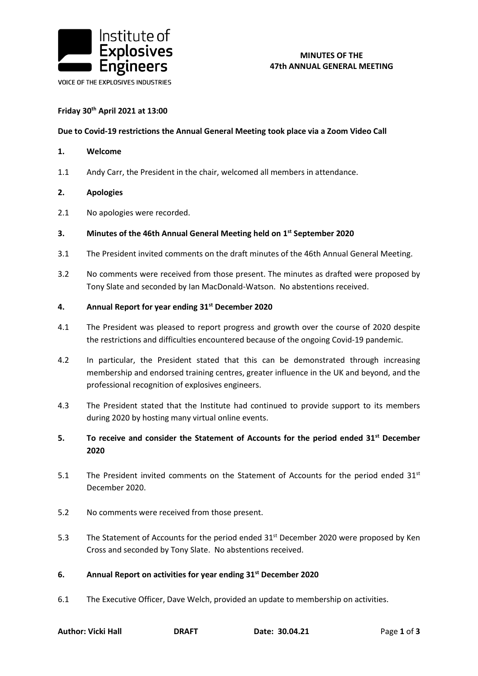

## **MINUTES OF THE 47th ANNUAL GENERAL MEETING**

### **Friday 30th April 2021 at 13:00**

#### **Due to Covid-19 restrictions the Annual General Meeting took place via a Zoom Video Call**

- **1. Welcome**
- 1.1 Andy Carr, the President in the chair, welcomed all members in attendance.
- **2. Apologies**
- 2.1 No apologies were recorded.

## **3. Minutes of the 46th Annual General Meeting held on 1 st September 2020**

- 3.1 The President invited comments on the draft minutes of the 46th Annual General Meeting.
- 3.2 No comments were received from those present. The minutes as drafted were proposed by Tony Slate and seconded by Ian MacDonald-Watson. No abstentions received.

#### **4. Annual Report for year ending 31st December 2020**

- 4.1 The President was pleased to report progress and growth over the course of 2020 despite the restrictions and difficulties encountered because of the ongoing Covid-19 pandemic.
- 4.2 In particular, the President stated that this can be demonstrated through increasing membership and endorsed training centres, greater influence in the UK and beyond, and the professional recognition of explosives engineers.
- 4.3 The President stated that the Institute had continued to provide support to its members during 2020 by hosting many virtual online events.
- **5. To receive and consider the Statement of Accounts for the period ended 31st December 2020**
- 5.1 The President invited comments on the Statement of Accounts for the period ended 31<sup>st</sup> December 2020.
- 5.2 No comments were received from those present.
- 5.3 The Statement of Accounts for the period ended 31<sup>st</sup> December 2020 were proposed by Ken Cross and seconded by Tony Slate. No abstentions received.
- **6. Annual Report on activities for year ending 31st December 2020**
- 6.1 The Executive Officer, Dave Welch, provided an update to membership on activities.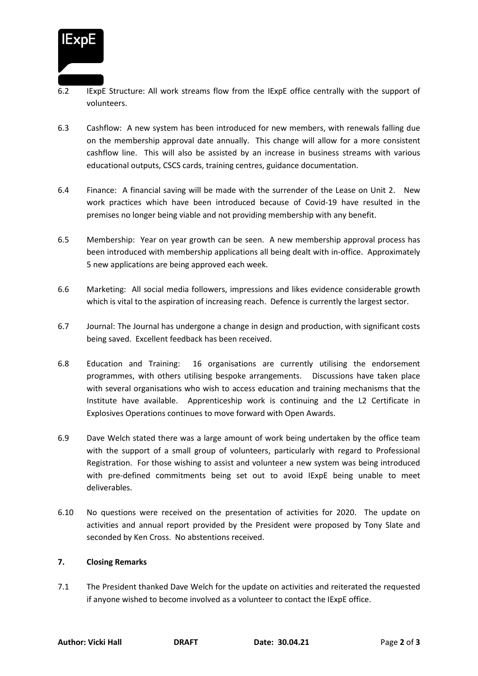

- 6.2 IExpE Structure: All work streams flow from the IExpE office centrally with the support of volunteers.
- 6.3 Cashflow: A new system has been introduced for new members, with renewals falling due on the membership approval date annually. This change will allow for a more consistent cashflow line. This will also be assisted by an increase in business streams with various educational outputs, CSCS cards, training centres, guidance documentation.
- 6.4 Finance: A financial saving will be made with the surrender of the Lease on Unit 2. New work practices which have been introduced because of Covid-19 have resulted in the premises no longer being viable and not providing membership with any benefit.
- 6.5 Membership: Year on year growth can be seen. A new membership approval process has been introduced with membership applications all being dealt with in-office. Approximately 5 new applications are being approved each week.
- 6.6 Marketing: All social media followers, impressions and likes evidence considerable growth which is vital to the aspiration of increasing reach. Defence is currently the largest sector.
- 6.7 Journal: The Journal has undergone a change in design and production, with significant costs being saved. Excellent feedback has been received.
- 6.8 Education and Training: 16 organisations are currently utilising the endorsement programmes, with others utilising bespoke arrangements. Discussions have taken place with several organisations who wish to access education and training mechanisms that the Institute have available. Apprenticeship work is continuing and the L2 Certificate in Explosives Operations continues to move forward with Open Awards.
- 6.9 Dave Welch stated there was a large amount of work being undertaken by the office team with the support of a small group of volunteers, particularly with regard to Professional Registration. For those wishing to assist and volunteer a new system was being introduced with pre-defined commitments being set out to avoid IExpE being unable to meet deliverables.
- 6.10 No questions were received on the presentation of activities for 2020. The update on activities and annual report provided by the President were proposed by Tony Slate and seconded by Ken Cross. No abstentions received.

# **7. Closing Remarks**

7.1 The President thanked Dave Welch for the update on activities and reiterated the requested if anyone wished to become involved as a volunteer to contact the IExpE office.